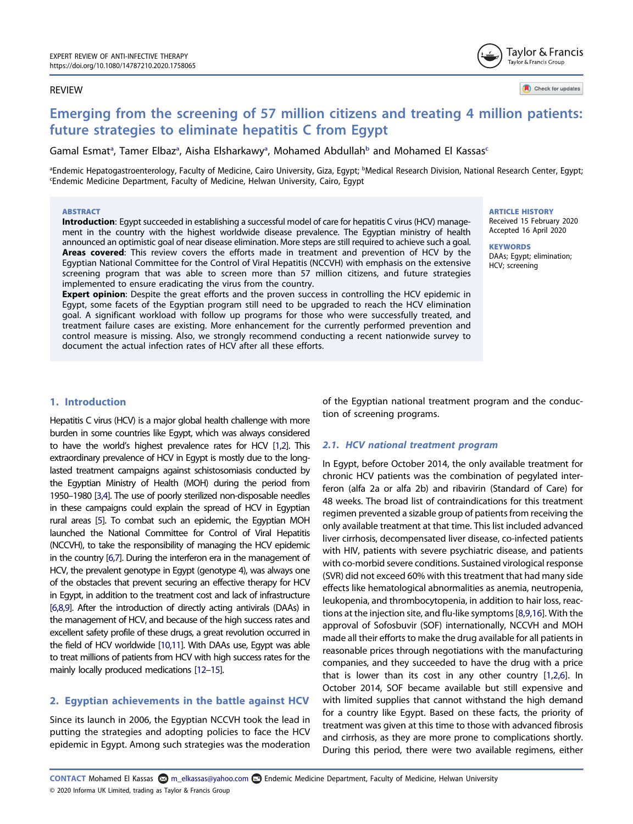#### REVIEW

Taylor & Francis Taylor & Francis Group

Check for updates

# Emerging from the screening of 57 million citizens and treating 4 million patients: future strategies to eliminate hepatitis C from Egypt

G[a](#page-0-0)mal Esmat<sup>a</sup>, Tamer El[b](#page-0-0)az<sup>a</sup>, Aisha Elsharkawy<sup>a</sup>, Mohamed Abdullah<sup>b</sup> and Mohamed El Kassas<sup>c</sup>

<span id="page-0-1"></span><span id="page-0-0"></span><sup>a</sup>Endemic Hepatogastroenterology, Faculty of Medicine, Cairo University, Giza, Egypt; <sup>b</sup>Medical Research Division, National Research Center, Egypt; c Endemic Medicine Department, Faculty of Medicine, Helwan University, Cairo, Egypt

#### ABSTRACT

Introduction: Egypt succeeded in establishing a successful model of care for hepatitis C virus (HCV) management in the country with the highest worldwide disease prevalence. The Egyptian ministry of health announced an optimistic goal of near disease elimination. More steps are still required to achieve such a goal. Areas covered: This review covers the efforts made in treatment and prevention of HCV by the Egyptian National Committee for the Control of Viral Hepatitis (NCCVH) with emphasis on the extensive screening program that was able to screen more than 57 million citizens, and future strategies implemented to ensure eradicating the virus from the country.

**Expert opinion:** Despite the great efforts and the proven success in controlling the HCV epidemic in Egypt, some facets of the Egyptian program still need to be upgraded to reach the HCV elimination goal. A significant workload with follow up programs for those who were successfully treated, and treatment failure cases are existing. More enhancement for the currently performed prevention and control measure is missing. Also, we strongly recommend conducting a recent nationwide survey to document the actual infection rates of HCV after all these efforts.

ARTICLE HISTORY

Received 15 February 2020 Accepted 16 April 2020

**KEYWORDS** DAAs; Egypt; elimination; HCV; screening

# 1. Introduction

<span id="page-0-5"></span><span id="page-0-4"></span><span id="page-0-3"></span>Hepatitis C virus (HCV) is a major global health challenge with more burden in some countries like Egypt, which was always considered to have the world's highest prevalence rates for HCV [\[1](#page-4-0)[,2](#page-4-1)]. This extraordinary prevalence of HCV in Egypt is mostly due to the longlasted treatment campaigns against schistosomiasis conducted by the Egyptian Ministry of Health (MOH) during the period from 1950–1980 [\[3](#page-4-2)[,4\]](#page-4-3). The use of poorly sterilized non-disposable needles in these campaigns could explain the spread of HCV in Egyptian rural areas [\[5](#page-4-4)]. To combat such an epidemic, the Egyptian MOH launched the National Committee for Control of Viral Hepatitis (NCCVH), to take the responsibility of managing the HCV epidemic in the country [\[6](#page-5-0)[,7\]](#page-5-1). During the interferon era in the management of HCV, the prevalent genotype in Egypt (genotype 4), was always one of the obstacles that prevent securing an effective therapy for HCV in Egypt, in addition to the treatment cost and lack of infrastructure [\[6](#page-5-0)[,8](#page-5-2)[,9\]](#page-5-3). After the introduction of directly acting antivirals (DAAs) in the management of HCV, and because of the high success rates and excellent safety profile of these drugs, a great revolution occurred in the field of HCV worldwide [\[10](#page-5-4)[,11](#page-5-5)]. With DAAs use, Egypt was able to treat millions of patients from HCV with high success rates for the mainly locally produced medications [\[12](#page-5-6)–[15\]](#page-5-7).

# <span id="page-0-8"></span><span id="page-0-7"></span>2. Egyptian achievements in the battle against HCV

Since its launch in 2006, the Egyptian NCCVH took the lead in putting the strategies and adopting policies to face the HCV epidemic in Egypt. Among such strategies was the moderation of the Egyptian national treatment program and the conduction of screening programs.

### 2.1. HCV national treatment program

<span id="page-0-6"></span><span id="page-0-2"></span>In Egypt, before October 2014, the only available treatment for chronic HCV patients was the combination of pegylated interferon (alfa 2a or alfa 2b) and ribavirin (Standard of Care) for 48 weeks. The broad list of contraindications for this treatment regimen prevented a sizable group of patients from receiving the only available treatment at that time. This list included advanced liver cirrhosis, decompensated liver disease, co-infected patients with HIV, patients with severe psychiatric disease, and patients with co-morbid severe conditions. Sustained virological response (SVR) did not exceed 60% with this treatment that had many side effects like hematological abnormalities as anemia, neutropenia, leukopenia, and thrombocytopenia, in addition to hair loss, reactions at the injection site, and flu-like symptoms [\[8,](#page-5-2)[9](#page-5-3)[,16\]](#page-5-8). With the approval of Sofosbuvir (SOF) internationally, NCCVH and MOH made all their efforts to make the drug available for all patients in reasonable prices through negotiations with the manufacturing companies, and they succeeded to have the drug with a price that is lower than its cost in any other country [\[1,](#page-4-0)[2](#page-4-1)[,6](#page-5-0)]. In October 2014, SOF became available but still expensive and with limited supplies that cannot withstand the high demand for a country like Egypt. Based on these facts, the priority of treatment was given at this time to those with advanced fibrosis and cirrhosis, as they are more prone to complications shortly. During this period, there were two available regimens, either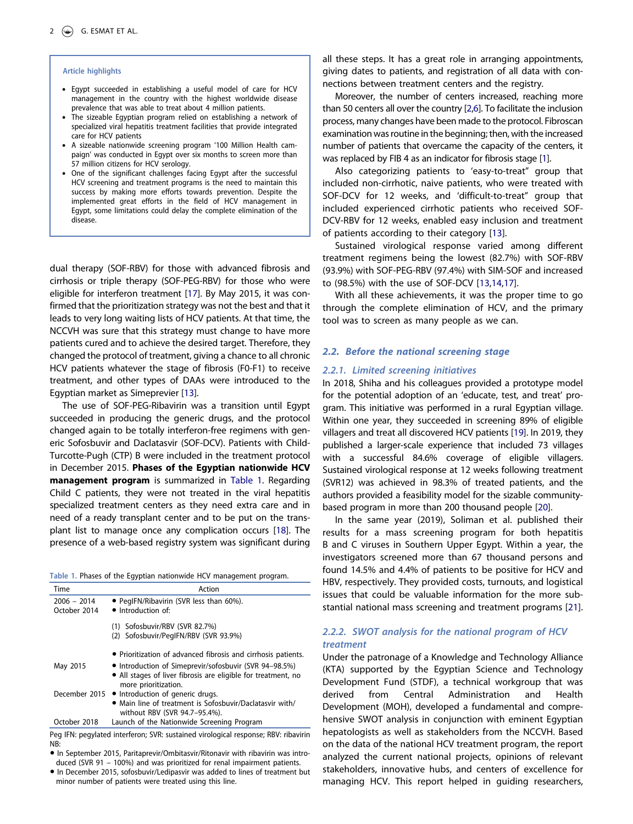#### Article highlights

- Egypt succeeded in establishing a useful model of care for HCV management in the country with the highest worldwide disease prevalence that was able to treat about 4 million patients.
- The sizeable Egyptian program relied on establishing a network of specialized viral hepatitis treatment facilities that provide integrated care for HCV patients
- A sizeable nationwide screening program '100 Million Health campaign' was conducted in Egypt over six months to screen more than 57 million citizens for HCV serology.
- One of the significant challenges facing Egypt after the successful HCV screening and treatment programs is the need to maintain this success by making more efforts towards prevention. Despite the implemented great efforts in the field of HCV management in Egypt, some limitations could delay the complete elimination of the disease.

dual therapy (SOF-RBV) for those with advanced fibrosis and cirrhosis or triple therapy (SOF-PEG-RBV) for those who were eligible for interferon treatment [[17](#page-5-9)]. By May 2015, it was confirmed that the prioritization strategy was not the best and that it leads to very long waiting lists of HCV patients. At that time, the NCCVH was sure that this strategy must change to have more patients cured and to achieve the desired target. Therefore, they changed the protocol of treatment, giving a chance to all chronic HCV patients whatever the stage of fibrosis (F0-F1) to receive treatment, and other types of DAAs were introduced to the Egyptian market as Simeprevier [\[13\]](#page-5-10).

The use of SOF-PEG-Ribavirin was a transition until Egypt succeeded in producing the generic drugs, and the protocol changed again to be totally interferon-free regimens with generic Sofosbuvir and Daclatasvir (SOF-DCV). Patients with Child-Turcotte-Pugh (CTP) B were included in the treatment protocol in December 2015. Phases of the Egyptian nationwide HCV management program is summarized in [Table 1](#page-1-0). Regarding Child C patients, they were not treated in the viral hepatitis specialized treatment centers as they need extra care and in need of a ready transplant center and to be put on the transplant list to manage once any complication occurs [[18](#page-5-11)]. The presence of a web-based registry system was significant during

<span id="page-1-2"></span><span id="page-1-0"></span>

|  |  |  | Table 1. Phases of the Egyptian nationwide HCV management program. |  |
|--|--|--|--------------------------------------------------------------------|--|
|  |  |  |                                                                    |  |

| Time                          | Action                                                                                                                                          |
|-------------------------------|-------------------------------------------------------------------------------------------------------------------------------------------------|
| $2006 - 2014$<br>October 2014 | • PegIFN/Ribavirin (SVR less than 60%).<br>• Introduction of:                                                                                   |
|                               | (1) Sofosbuvir/RBV (SVR 82.7%)<br>(2) Sofosbuvir/PegIFN/RBV (SVR 93.9%)                                                                         |
|                               | • Prioritization of advanced fibrosis and cirrhosis patients.                                                                                   |
| May 2015                      | • Introduction of Simeprevir/sofosbuvir (SVR 94-98.5%)<br>• All stages of liver fibrosis are eligible for treatment, no<br>more prioritization. |
|                               | December 2015 . Introduction of generic drugs.                                                                                                  |
|                               | • Main line of treatment is Sofosbuvir/Daclatasvir with/<br>without RBV (SVR 94.7-95.4%).                                                       |
| October 2018                  | Launch of the Nationwide Screening Program                                                                                                      |

Peg IFN: pegylated interferon; SVR: sustained virological response; RBV: ribavirin NB:

- In September 2015, Paritaprevir/Ombitasvir/Ritonavir with ribavirin was introduced (SVR 91 – 100%) and was prioritized for renal impairment patients.
- In December 2015, sofosbuvir/Ledipasvir was added to lines of treatment but minor number of patients were treated using this line.

all these steps. It has a great role in arranging appointments, giving dates to patients, and registration of all data with connections between treatment centers and the registry.

Moreover, the number of centers increased, reaching more than 50 centers all over the country [\[2](#page-4-1)[,6\]](#page-5-0). To facilitate the inclusion process, many changes have been made to the protocol. Fibroscan examination was routine in the beginning; then, with the increased number of patients that overcame the capacity of the centers, it was replaced by FIB 4 as an indicator for fibrosis stage [\[1\]](#page-4-0).

Also categorizing patients to 'easy-to-treat" group that included non-cirrhotic, naive patients, who were treated with SOF-DCV for 12 weeks, and 'difficult-to-treat" group that included experienced cirrhotic patients who received SOF-DCV-RBV for 12 weeks, enabled easy inclusion and treatment of patients according to their category [[13\]](#page-5-10).

Sustained virological response varied among different treatment regimens being the lowest (82.7%) with SOF-RBV (93.9%) with SOF-PEG-RBV (97.4%) with SIM-SOF and increased to (98.5%) with the use of SOF-DCV [[13](#page-5-10)[,14](#page-5-12)[,17\]](#page-5-9).

<span id="page-1-1"></span>With all these achievements, it was the proper time to go through the complete elimination of HCV, and the primary tool was to screen as many people as we can.

## 2.2. Before the national screening stage

#### 2.2.1. Limited screening initiatives

<span id="page-1-3"></span>In 2018, Shiha and his colleagues provided a prototype model for the potential adoption of an 'educate, test, and treat' program. This initiative was performed in a rural Egyptian village. Within one year, they succeeded in screening 89% of eligible villagers and treat all discovered HCV patients [[19](#page-5-13)]. In 2019, they published a larger-scale experience that included 73 villages with a successful 84.6% coverage of eligible villagers. Sustained virological response at 12 weeks following treatment (SVR12) was achieved in 98.3% of treated patients, and the authors provided a feasibility model for the sizable communitybased program in more than 200 thousand people [\[20\]](#page-5-14).

<span id="page-1-4"></span>In the same year (2019), Soliman et al. published their results for a mass screening program for both hepatitis B and C viruses in Southern Upper Egypt. Within a year, the investigators screened more than 67 thousand persons and found 14.5% and 4.4% of patients to be positive for HCV and HBV, respectively. They provided costs, turnouts, and logistical issues that could be valuable information for the more substantial national mass screening and treatment programs [\[21\]](#page-5-15).

# <span id="page-1-5"></span>2.2.2. SWOT analysis for the national program of HCV treatment

Under the patronage of a Knowledge and Technology Alliance (KTA) supported by the Egyptian Science and Technology Development Fund (STDF), a technical workgroup that was derived from Central Administration and Health Development (MOH), developed a fundamental and comprehensive SWOT analysis in conjunction with eminent Egyptian hepatologists as well as stakeholders from the NCCVH. Based on the data of the national HCV treatment program, the report analyzed the current national projects, opinions of relevant stakeholders, innovative hubs, and centers of excellence for managing HCV. This report helped in guiding researchers,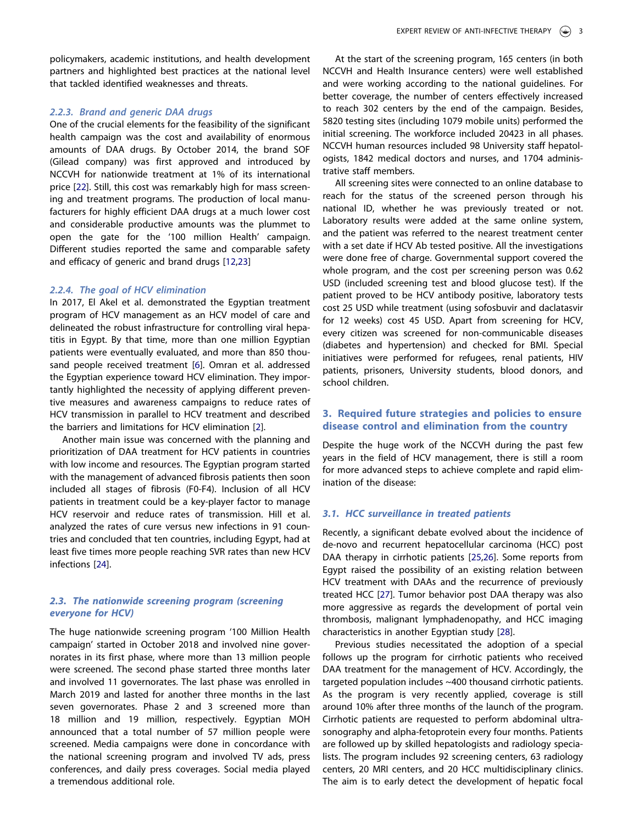policymakers, academic institutions, and health development partners and highlighted best practices at the national level that tackled identified weaknesses and threats.

## 2.2.3. Brand and generic DAA drugs

One of the crucial elements for the feasibility of the significant health campaign was the cost and availability of enormous amounts of DAA drugs. By October 2014, the brand SOF (Gilead company) was first approved and introduced by NCCVH for nationwide treatment at 1% of its international price [\[22](#page-5-16)]. Still, this cost was remarkably high for mass screening and treatment programs. The production of local manufacturers for highly efficient DAA drugs at a much lower cost and considerable productive amounts was the plummet to open the gate for the '100 million Health' campaign. Different studies reported the same and comparable safety and efficacy of generic and brand drugs [\[12](#page-5-6)[,23\]](#page-5-17)

#### <span id="page-2-0"></span>2.2.4. The goal of HCV elimination

In 2017, El Akel et al. demonstrated the Egyptian treatment program of HCV management as an HCV model of care and delineated the robust infrastructure for controlling viral hepatitis in Egypt. By that time, more than one million Egyptian patients were eventually evaluated, and more than 850 thousand people received treatment [[6\]](#page-5-0). Omran et al. addressed the Egyptian experience toward HCV elimination. They importantly highlighted the necessity of applying different preventive measures and awareness campaigns to reduce rates of HCV transmission in parallel to HCV treatment and described the barriers and limitations for HCV elimination [\[2](#page-4-1)].

Another main issue was concerned with the planning and prioritization of DAA treatment for HCV patients in countries with low income and resources. The Egyptian program started with the management of advanced fibrosis patients then soon included all stages of fibrosis (F0-F4). Inclusion of all HCV patients in treatment could be a key-player factor to manage HCV reservoir and reduce rates of transmission. Hill et al. analyzed the rates of cure versus new infections in 91 countries and concluded that ten countries, including Egypt, had at least five times more people reaching SVR rates than new HCV infections [[24\]](#page-5-18).

# <span id="page-2-1"></span>2.3. The nationwide screening program (screening everyone for HCV)

The huge nationwide screening program '100 Million Health campaign' started in October 2018 and involved nine governorates in its first phase, where more than 13 million people were screened. The second phase started three months later and involved 11 governorates. The last phase was enrolled in March 2019 and lasted for another three months in the last seven governorates. Phase 2 and 3 screened more than 18 million and 19 million, respectively. Egyptian MOH announced that a total number of 57 million people were screened. Media campaigns were done in concordance with the national screening program and involved TV ads, press conferences, and daily press coverages. Social media played a tremendous additional role.

At the start of the screening program, 165 centers (in both NCCVH and Health Insurance centers) were well established and were working according to the national guidelines. For better coverage, the number of centers effectively increased to reach 302 centers by the end of the campaign. Besides, 5820 testing sites (including 1079 mobile units) performed the initial screening. The workforce included 20423 in all phases. NCCVH human resources included 98 University staff hepatologists, 1842 medical doctors and nurses, and 1704 administrative staff members.

All screening sites were connected to an online database to reach for the status of the screened person through his national ID, whether he was previously treated or not. Laboratory results were added at the same online system, and the patient was referred to the nearest treatment center with a set date if HCV Ab tested positive. All the investigations were done free of charge. Governmental support covered the whole program, and the cost per screening person was 0.62 USD (included screening test and blood glucose test). If the patient proved to be HCV antibody positive, laboratory tests cost 25 USD while treatment (using sofosbuvir and daclatasvir for 12 weeks) cost 45 USD. Apart from screening for HCV, every citizen was screened for non-communicable diseases (diabetes and hypertension) and checked for BMI. Special initiatives were performed for refugees, renal patients, HIV patients, prisoners, University students, blood donors, and school children.

# 3. Required future strategies and policies to ensure disease control and elimination from the country

Despite the huge work of the NCCVH during the past few years in the field of HCV management, there is still a room for more advanced steps to achieve complete and rapid elimination of the disease:

## 3.1. HCC surveillance in treated patients

<span id="page-2-2"></span>Recently, a significant debate evolved about the incidence of de-novo and recurrent hepatocellular carcinoma (HCC) post DAA therapy in cirrhotic patients [[25,](#page-5-19)[26](#page-5-20)]. Some reports from Egypt raised the possibility of an existing relation between HCV treatment with DAAs and the recurrence of previously treated HCC [[27\]](#page-5-21). Tumor behavior post DAA therapy was also more aggressive as regards the development of portal vein thrombosis, malignant lymphadenopathy, and HCC imaging characteristics in another Egyptian study [\[28](#page-5-22)].

<span id="page-2-4"></span><span id="page-2-3"></span>Previous studies necessitated the adoption of a special follows up the program for cirrhotic patients who received DAA treatment for the management of HCV. Accordingly, the targeted population includes ~400 thousand cirrhotic patients. As the program is very recently applied, coverage is still around 10% after three months of the launch of the program. Cirrhotic patients are requested to perform abdominal ultrasonography and alpha-fetoprotein every four months. Patients are followed up by skilled hepatologists and radiology specialists. The program includes 92 screening centers, 63 radiology centers, 20 MRI centers, and 20 HCC multidisciplinary clinics. The aim is to early detect the development of hepatic focal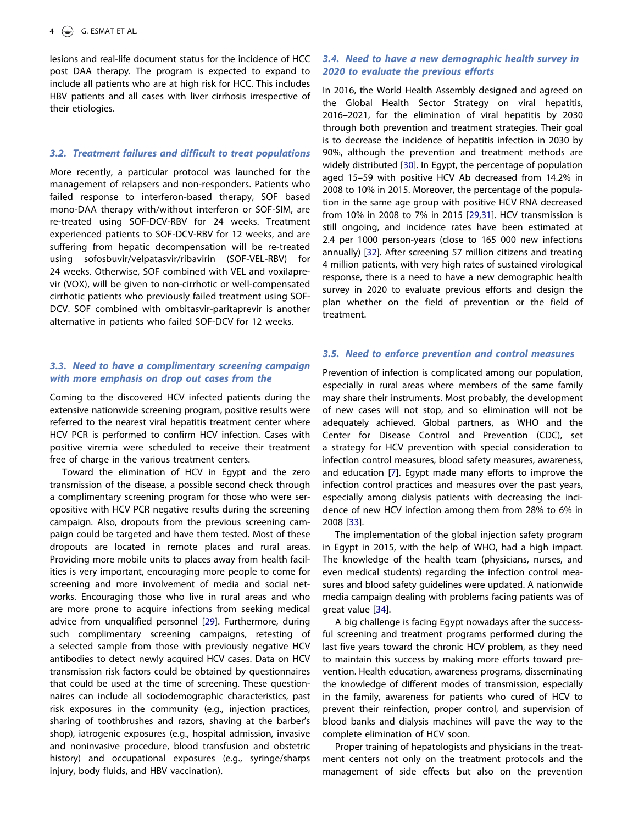lesions and real-life document status for the incidence of HCC post DAA therapy. The program is expected to expand to include all patients who are at high risk for HCC. This includes HBV patients and all cases with liver cirrhosis irrespective of their etiologies.

#### 3.2. Treatment failures and difficult to treat populations

More recently, a particular protocol was launched for the management of relapsers and non-responders. Patients who failed response to interferon-based therapy, SOF based mono-DAA therapy with/without interferon or SOF-SIM, are re-treated using SOF-DCV-RBV for 24 weeks. Treatment experienced patients to SOF-DCV-RBV for 12 weeks, and are suffering from hepatic decompensation will be re-treated using sofosbuvir/velpatasvir/ribavirin (SOF-VEL-RBV) for 24 weeks. Otherwise, SOF combined with VEL and voxilaprevir (VOX), will be given to non-cirrhotic or well-compensated cirrhotic patients who previously failed treatment using SOF-DCV. SOF combined with ombitasvir-paritaprevir is another alternative in patients who failed SOF-DCV for 12 weeks.

# 3.3. Need to have a complimentary screening campaign with more emphasis on drop out cases from the

Coming to the discovered HCV infected patients during the extensive nationwide screening program, positive results were referred to the nearest viral hepatitis treatment center where HCV PCR is performed to confirm HCV infection. Cases with positive viremia were scheduled to receive their treatment free of charge in the various treatment centers.

Toward the elimination of HCV in Egypt and the zero transmission of the disease, a possible second check through a complimentary screening program for those who were seropositive with HCV PCR negative results during the screening campaign. Also, dropouts from the previous screening campaign could be targeted and have them tested. Most of these dropouts are located in remote places and rural areas. Providing more mobile units to places away from health facilities is very important, encouraging more people to come for screening and more involvement of media and social networks. Encouraging those who live in rural areas and who are more prone to acquire infections from seeking medical advice from unqualified personnel [\[29\]](#page-5-23). Furthermore, during such complimentary screening campaigns, retesting of a selected sample from those with previously negative HCV antibodies to detect newly acquired HCV cases. Data on HCV transmission risk factors could be obtained by questionnaires that could be used at the time of screening. These questionnaires can include all sociodemographic characteristics, past risk exposures in the community (e.g., injection practices, sharing of toothbrushes and razors, shaving at the barber's shop), iatrogenic exposures (e.g., hospital admission, invasive and noninvasive procedure, blood transfusion and obstetric history) and occupational exposures (e.g., syringe/sharps injury, body fluids, and HBV vaccination).

# 3.4. Need to have a new demographic health survey in 2020 to evaluate the previous efforts

<span id="page-3-1"></span><span id="page-3-0"></span>In 2016, the World Health Assembly designed and agreed on the Global Health Sector Strategy on viral hepatitis, 2016–2021, for the elimination of viral hepatitis by 2030 through both prevention and treatment strategies. Their goal is to decrease the incidence of hepatitis infection in 2030 by 90%, although the prevention and treatment methods are widely distributed [\[30](#page-5-24)]. In Egypt, the percentage of population aged 15–59 with positive HCV Ab decreased from 14.2% in 2008 to 10% in 2015. Moreover, the percentage of the population in the same age group with positive HCV RNA decreased from 10% in 2008 to 7% in 2015 [[29,](#page-5-23)[31](#page-5-25)]. HCV transmission is still ongoing, and incidence rates have been estimated at 2.4 per 1000 person-years (close to 165 000 new infections annually) [\[32\]](#page-5-26). After screening 57 million citizens and treating 4 million patients, with very high rates of sustained virological response, there is a need to have a new demographic health survey in 2020 to evaluate previous efforts and design the plan whether on the field of prevention or the field of treatment.

#### <span id="page-3-2"></span>3.5. Need to enforce prevention and control measures

Prevention of infection is complicated among our population, especially in rural areas where members of the same family may share their instruments. Most probably, the development of new cases will not stop, and so elimination will not be adequately achieved. Global partners, as WHO and the Center for Disease Control and Prevention (CDC), set a strategy for HCV prevention with special consideration to infection control measures, blood safety measures, awareness, and education [\[7](#page-5-1)]. Egypt made many efforts to improve the infection control practices and measures over the past years, especially among dialysis patients with decreasing the incidence of new HCV infection among them from 28% to 6% in 2008 [\[33\]](#page-5-27).

<span id="page-3-3"></span>The implementation of the global injection safety program in Egypt in 2015, with the help of WHO, had a high impact. The knowledge of the health team (physicians, nurses, and even medical students) regarding the infection control measures and blood safety guidelines were updated. A nationwide media campaign dealing with problems facing patients was of great value [[34\]](#page-5-28).

<span id="page-3-4"></span>A big challenge is facing Egypt nowadays after the successful screening and treatment programs performed during the last five years toward the chronic HCV problem, as they need to maintain this success by making more efforts toward prevention. Health education, awareness programs, disseminating the knowledge of different modes of transmission, especially in the family, awareness for patients who cured of HCV to prevent their reinfection, proper control, and supervision of blood banks and dialysis machines will pave the way to the complete elimination of HCV soon.

Proper training of hepatologists and physicians in the treatment centers not only on the treatment protocols and the management of side effects but also on the prevention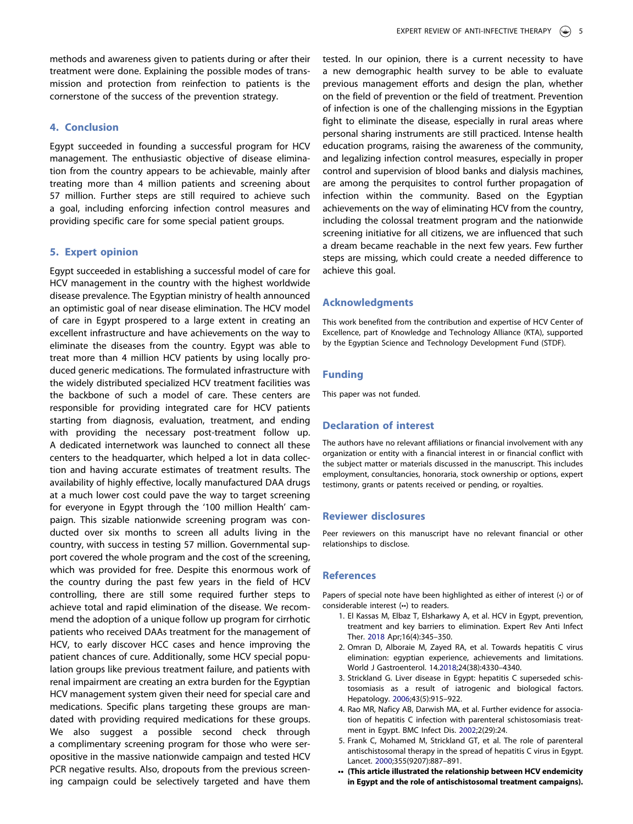methods and awareness given to patients during or after their treatment were done. Explaining the possible modes of transmission and protection from reinfection to patients is the cornerstone of the success of the prevention strategy.

# 4. Conclusion

Egypt succeeded in founding a successful program for HCV management. The enthusiastic objective of disease elimination from the country appears to be achievable, mainly after treating more than 4 million patients and screening about 57 million. Further steps are still required to achieve such a goal, including enforcing infection control measures and providing specific care for some special patient groups.

## 5. Expert opinion

Egypt succeeded in establishing a successful model of care for HCV management in the country with the highest worldwide disease prevalence. The Egyptian ministry of health announced an optimistic goal of near disease elimination. The HCV model of care in Egypt prospered to a large extent in creating an excellent infrastructure and have achievements on the way to eliminate the diseases from the country. Egypt was able to treat more than 4 million HCV patients by using locally produced generic medications. The formulated infrastructure with the widely distributed specialized HCV treatment facilities was the backbone of such a model of care. These centers are responsible for providing integrated care for HCV patients starting from diagnosis, evaluation, treatment, and ending with providing the necessary post-treatment follow up. A dedicated internetwork was launched to connect all these centers to the headquarter, which helped a lot in data collection and having accurate estimates of treatment results. The availability of highly effective, locally manufactured DAA drugs at a much lower cost could pave the way to target screening for everyone in Egypt through the '100 million Health' campaign. This sizable nationwide screening program was conducted over six months to screen all adults living in the country, with success in testing 57 million. Governmental support covered the whole program and the cost of the screening, which was provided for free. Despite this enormous work of the country during the past few years in the field of HCV controlling, there are still some required further steps to achieve total and rapid elimination of the disease. We recommend the adoption of a unique follow up program for cirrhotic patients who received DAAs treatment for the management of HCV, to early discover HCC cases and hence improving the patient chances of cure. Additionally, some HCV special population groups like previous treatment failure, and patients with renal impairment are creating an extra burden for the Egyptian HCV management system given their need for special care and medications. Specific plans targeting these groups are mandated with providing required medications for these groups. We also suggest a possible second check through a complimentary screening program for those who were seropositive in the massive nationwide campaign and tested HCV PCR negative results. Also, dropouts from the previous screening campaign could be selectively targeted and have them tested. In our opinion, there is a current necessity to have a new demographic health survey to be able to evaluate previous management efforts and design the plan, whether on the field of prevention or the field of treatment. Prevention of infection is one of the challenging missions in the Egyptian fight to eliminate the disease, especially in rural areas where personal sharing instruments are still practiced. Intense health education programs, raising the awareness of the community, and legalizing infection control measures, especially in proper control and supervision of blood banks and dialysis machines, are among the perquisites to control further propagation of infection within the community. Based on the Egyptian achievements on the way of eliminating HCV from the country, including the colossal treatment program and the nationwide screening initiative for all citizens, we are influenced that such a dream became reachable in the next few years. Few further steps are missing, which could create a needed difference to achieve this goal.

## Acknowledgments

This work benefited from the contribution and expertise of HCV Center of Excellence, part of Knowledge and Technology Alliance (KTA), supported by the Egyptian Science and Technology Development Fund (STDF).

## Funding

This paper was not funded.

# Declaration of interest

The authors have no relevant affiliations or financial involvement with any organization or entity with a financial interest in or financial conflict with the subject matter or materials discussed in the manuscript. This includes employment, consultancies, honoraria, stock ownership or options, expert testimony, grants or patents received or pending, or royalties.

#### Reviewer disclosures

Peer reviewers on this manuscript have no relevant financial or other relationships to disclose.

#### References

Papers of special note have been highlighted as either of interest (•) or of considerable interest (••) to readers.

- <span id="page-4-0"></span>1. El Kassas M, Elbaz T, Elsharkawy A, et al. HCV in Egypt, prevention, treatment and key barriers to elimination. Expert Rev Anti Infect Ther. [2018](#page-0-2) Apr;16(4):345–350.
- <span id="page-4-1"></span>2. Omran D, Alboraie M, Zayed RA, et al. Towards hepatitis C virus elimination: egyptian experience, achievements and limitations. World J Gastroenterol. 14[.2018;](#page-0-2)24(38):4330–4340.
- <span id="page-4-2"></span>3. Strickland G. Liver disease in Egypt: hepatitis C superseded schistosomiasis as a result of iatrogenic and biological factors. Hepatology. [2006;](#page-0-3)43(5):915–922.
- <span id="page-4-3"></span>4. Rao MR, Naficy AB, Darwish MA, et al. Further evidence for association of hepatitis C infection with parenteral schistosomiasis treatment in Egypt. BMC Infect Dis. [2002](#page-0-3);2(29):24.
- <span id="page-4-4"></span>5. Frank C, Mohamed M, Strickland GT, et al. The role of parenteral antischistosomal therapy in the spread of hepatitis C virus in Egypt. Lancet. [2000;](#page-0-4)355(9207):887–891.
- •• (This article illustrated the relationship between HCV endemicity in Egypt and the role of antischistosomal treatment campaigns).